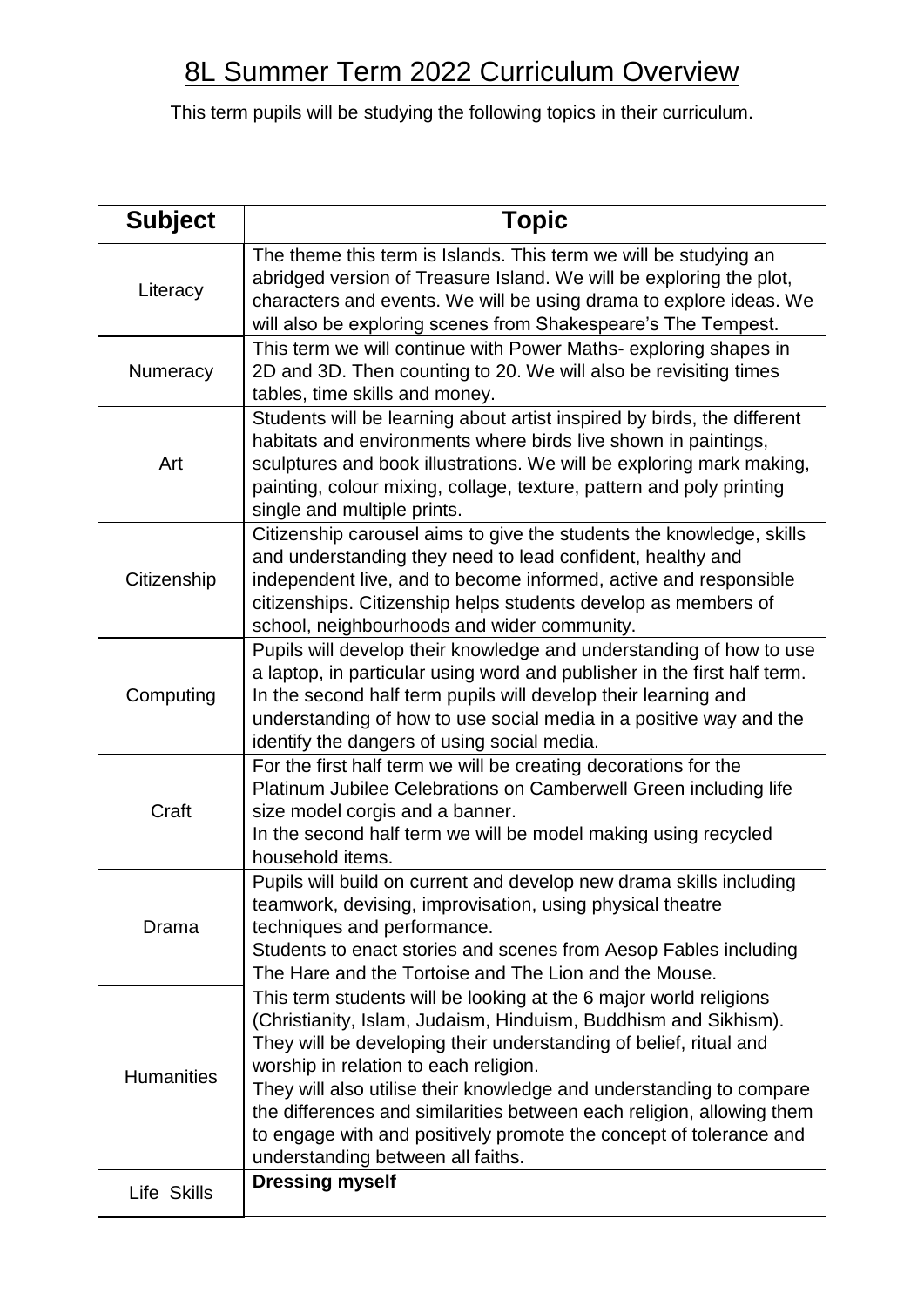## 8L Summer Term 2022 Curriculum Overview

This term pupils will be studying the following topics in their curriculum.

| <b>Subject</b>    | <b>Topic</b>                                                                                                                                                                                                                                                                                                                                                                                                                                                                                                  |
|-------------------|---------------------------------------------------------------------------------------------------------------------------------------------------------------------------------------------------------------------------------------------------------------------------------------------------------------------------------------------------------------------------------------------------------------------------------------------------------------------------------------------------------------|
| Literacy          | The theme this term is Islands. This term we will be studying an<br>abridged version of Treasure Island. We will be exploring the plot,<br>characters and events. We will be using drama to explore ideas. We<br>will also be exploring scenes from Shakespeare's The Tempest.                                                                                                                                                                                                                                |
| Numeracy          | This term we will continue with Power Maths- exploring shapes in<br>2D and 3D. Then counting to 20. We will also be revisiting times<br>tables, time skills and money.                                                                                                                                                                                                                                                                                                                                        |
| Art               | Students will be learning about artist inspired by birds, the different<br>habitats and environments where birds live shown in paintings,<br>sculptures and book illustrations. We will be exploring mark making,<br>painting, colour mixing, collage, texture, pattern and poly printing<br>single and multiple prints.                                                                                                                                                                                      |
| Citizenship       | Citizenship carousel aims to give the students the knowledge, skills<br>and understanding they need to lead confident, healthy and<br>independent live, and to become informed, active and responsible<br>citizenships. Citizenship helps students develop as members of<br>school, neighbourhoods and wider community.                                                                                                                                                                                       |
| Computing         | Pupils will develop their knowledge and understanding of how to use<br>a laptop, in particular using word and publisher in the first half term.<br>In the second half term pupils will develop their learning and<br>understanding of how to use social media in a positive way and the<br>identify the dangers of using social media.                                                                                                                                                                        |
| Craft             | For the first half term we will be creating decorations for the<br>Platinum Jubilee Celebrations on Camberwell Green including life<br>size model corgis and a banner.<br>In the second half term we will be model making using recycled<br>household items.                                                                                                                                                                                                                                                  |
| Drama             | Pupils will build on current and develop new drama skills including<br>teamwork, devising, improvisation, using physical theatre<br>techniques and performance.<br>Students to enact stories and scenes from Aesop Fables including<br>The Hare and the Tortoise and The Lion and the Mouse.                                                                                                                                                                                                                  |
| <b>Humanities</b> | This term students will be looking at the 6 major world religions<br>(Christianity, Islam, Judaism, Hinduism, Buddhism and Sikhism).<br>They will be developing their understanding of belief, ritual and<br>worship in relation to each religion.<br>They will also utilise their knowledge and understanding to compare<br>the differences and similarities between each religion, allowing them<br>to engage with and positively promote the concept of tolerance and<br>understanding between all faiths. |
| Life Skills       | <b>Dressing myself</b>                                                                                                                                                                                                                                                                                                                                                                                                                                                                                        |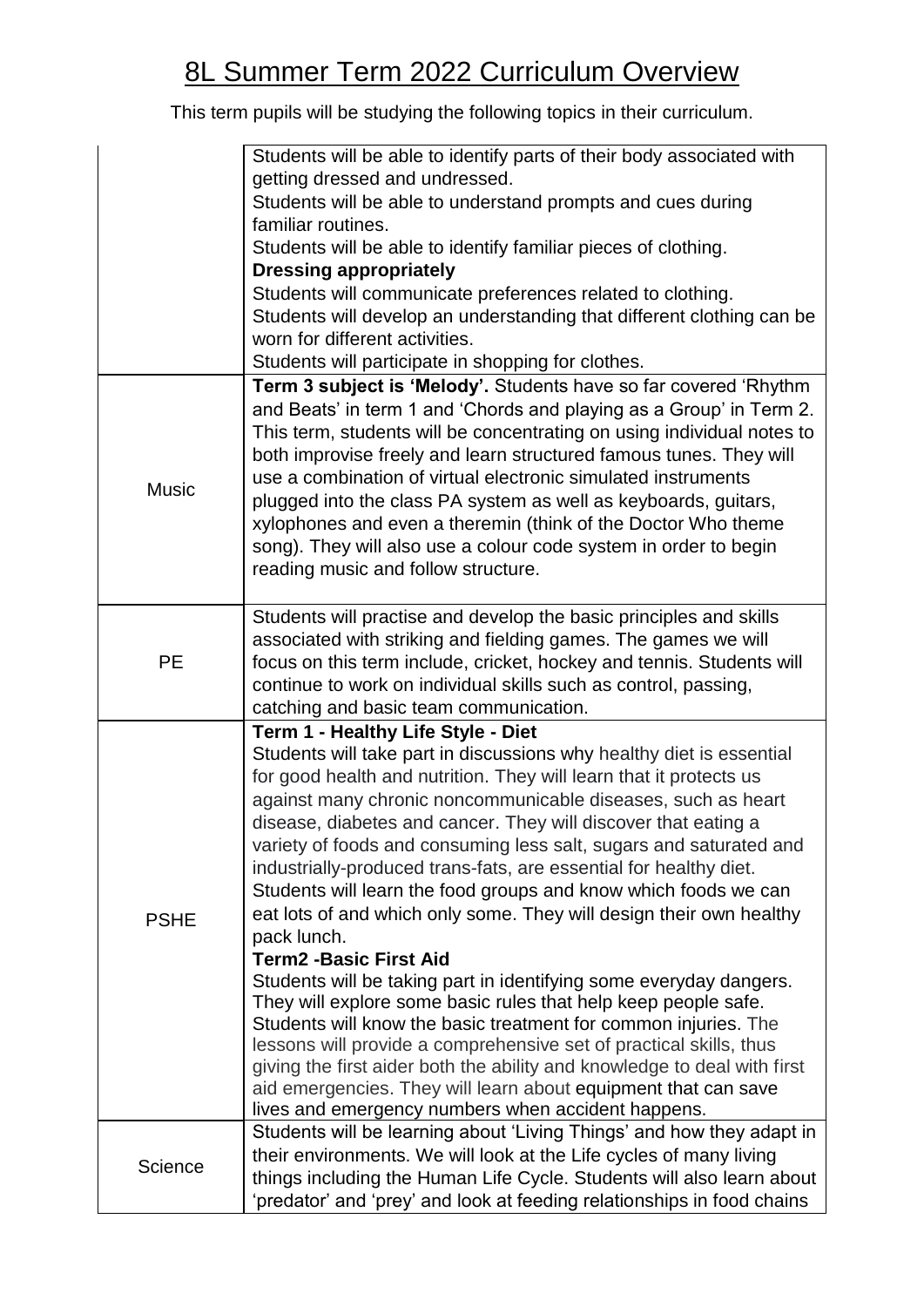## 8L Summer Term 2022 Curriculum Overview

This term pupils will be studying the following topics in their curriculum.

|              | Students will be able to identify parts of their body associated with                                                                                                                                                                                                                                                                                                                                                                                                                                                                                                            |
|--------------|----------------------------------------------------------------------------------------------------------------------------------------------------------------------------------------------------------------------------------------------------------------------------------------------------------------------------------------------------------------------------------------------------------------------------------------------------------------------------------------------------------------------------------------------------------------------------------|
|              | getting dressed and undressed.<br>Students will be able to understand prompts and cues during                                                                                                                                                                                                                                                                                                                                                                                                                                                                                    |
|              | familiar routines.                                                                                                                                                                                                                                                                                                                                                                                                                                                                                                                                                               |
|              | Students will be able to identify familiar pieces of clothing.                                                                                                                                                                                                                                                                                                                                                                                                                                                                                                                   |
|              | <b>Dressing appropriately</b>                                                                                                                                                                                                                                                                                                                                                                                                                                                                                                                                                    |
|              | Students will communicate preferences related to clothing.                                                                                                                                                                                                                                                                                                                                                                                                                                                                                                                       |
|              | Students will develop an understanding that different clothing can be                                                                                                                                                                                                                                                                                                                                                                                                                                                                                                            |
|              | worn for different activities.<br>Students will participate in shopping for clothes.                                                                                                                                                                                                                                                                                                                                                                                                                                                                                             |
|              | Term 3 subject is 'Melody'. Students have so far covered 'Rhythm                                                                                                                                                                                                                                                                                                                                                                                                                                                                                                                 |
| <b>Music</b> | and Beats' in term 1 and 'Chords and playing as a Group' in Term 2.<br>This term, students will be concentrating on using individual notes to<br>both improvise freely and learn structured famous tunes. They will<br>use a combination of virtual electronic simulated instruments<br>plugged into the class PA system as well as keyboards, guitars,<br>xylophones and even a theremin (think of the Doctor Who theme<br>song). They will also use a colour code system in order to begin<br>reading music and follow structure.                                              |
| <b>PE</b>    | Students will practise and develop the basic principles and skills                                                                                                                                                                                                                                                                                                                                                                                                                                                                                                               |
|              | associated with striking and fielding games. The games we will                                                                                                                                                                                                                                                                                                                                                                                                                                                                                                                   |
|              | focus on this term include, cricket, hockey and tennis. Students will<br>continue to work on individual skills such as control, passing,                                                                                                                                                                                                                                                                                                                                                                                                                                         |
|              | catching and basic team communication.                                                                                                                                                                                                                                                                                                                                                                                                                                                                                                                                           |
|              | Term 1 - Healthy Life Style - Diet                                                                                                                                                                                                                                                                                                                                                                                                                                                                                                                                               |
| <b>PSHE</b>  | Students will take part in discussions why healthy diet is essential<br>for good health and nutrition. They will learn that it protects us<br>against many chronic noncommunicable diseases, such as heart<br>disease, diabetes and cancer. They will discover that eating a<br>variety of foods and consuming less salt, sugars and saturated and<br>industrially-produced trans-fats, are essential for healthy diet.<br>Students will learn the food groups and know which foods we can<br>eat lots of and which only some. They will design their own healthy<br>pack lunch. |
|              | <b>Term2 -Basic First Aid</b>                                                                                                                                                                                                                                                                                                                                                                                                                                                                                                                                                    |
|              | Students will be taking part in identifying some everyday dangers.<br>They will explore some basic rules that help keep people safe.<br>Students will know the basic treatment for common injuries. The<br>lessons will provide a comprehensive set of practical skills, thus<br>giving the first aider both the ability and knowledge to deal with first<br>aid emergencies. They will learn about equipment that can save<br>lives and emergency numbers when accident happens.                                                                                                |
| Science      | Students will be learning about 'Living Things' and how they adapt in                                                                                                                                                                                                                                                                                                                                                                                                                                                                                                            |
|              | their environments. We will look at the Life cycles of many living<br>things including the Human Life Cycle. Students will also learn about                                                                                                                                                                                                                                                                                                                                                                                                                                      |
|              | 'predator' and 'prey' and look at feeding relationships in food chains                                                                                                                                                                                                                                                                                                                                                                                                                                                                                                           |